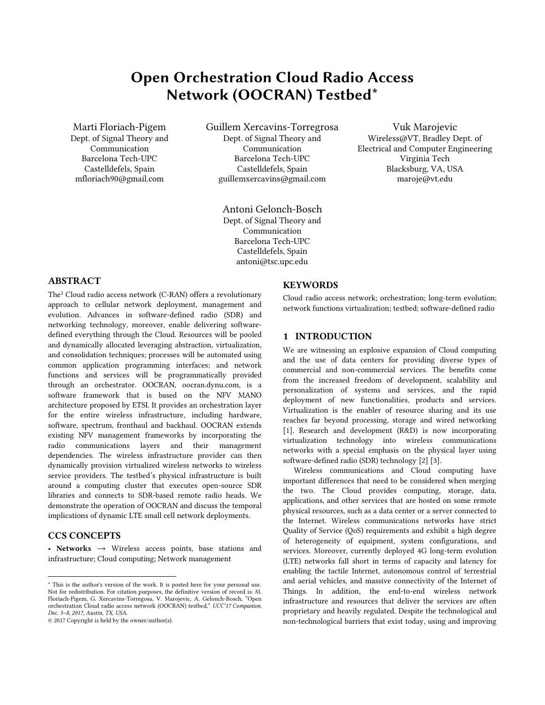# Open Orchestration Cloud Radio Access Network (OOCRAN) Testbed\*

Marti Floriach-Pigem Dept. of Signal Theory and Communication Barcelona Tech-UPC Castelldefels, Spain mfloriach90@gmail.com

Guillem Xercavins-Torregrosa Dept. of Signal Theory and Communication Barcelona Tech-UPC Castelldefels, Spain guillemxercavins@gmail.com

> Antoni Gelonch-Bosch Dept. of Signal Theory and Communication Barcelona Tech-UPC Castelldefels, Spain antoni@tsc.upc.edu

Vuk Marojevic Wireless@VT, Bradley Dept. of Electrical and Computer Engineering Virginia Tech Blacksburg, VA, USA maroje@vt.edu

## ABSTRACT

The<sup>1</sup> Cloud radio access network (C-RAN) offers a revolutionary approach to cellular network deployment, management and evolution. Advances in software-defined radio (SDR) and networking technology, moreover, enable delivering softwaredefined everything through the Cloud. Resources will be pooled and dynamically allocated leveraging abstraction, virtualization, and consolidation techniques; processes will be automated using common application programming interfaces; and network functions and services will be programmatically provided through an orchestrator. OOCRAN, oocran.dynu.com, is a software framework that is based on the NFV MANO architecture proposed by ETSI. It provides an orchestration layer for the entire wireless infrastructure, including hardware, software, spectrum, fronthaul and backhaul. OOCRAN extends existing NFV management frameworks by incorporating the radio communications layers and their management dependencies. The wireless infrastructure provider can then dynamically provision virtualized wireless networks to wireless service providers. The testbed's physical infrastructure is built around a computing cluster that executes open-source SDR libraries and connects to SDR-based remote radio heads. We demonstrate the operation of OOCRAN and discuss the temporal implications of dynamic LTE small cell network deployments.

# CCS CONCEPTS

 $\overline{a}$ 

• Networks  $\rightarrow$  Wireless access points, base stations and infrastructure; Cloud computing; Network management

## **KEYWORDS**

Cloud radio access network; orchestration; long-term evolution; network functions virtualization; testbed; software-defined radio

## 1 INTRODUCTION

We are witnessing an explosive expansion of Cloud computing and the use of data centers for providing diverse types of commercial and non-commercial services. The benefits come from the increased freedom of development, scalability and personalization of systems and services, and the rapid deployment of new functionalities, products and services. Virtualization is the enabler of resource sharing and its use reaches far beyond processing, storage and wired networking [\[1\]](#page-5-0). Research and development (R&D) is now incorporating virtualization technology into wireless communications networks with a special emphasis on the physical layer using software-defined radio (SDR) technology [\[2\]](#page-5-1) [\[3\]](#page-5-2).

Wireless communications and Cloud computing have important differences that need to be considered when merging the two. The Cloud provides computing, storage, data, applications, and other services that are hosted on some remote physical resources, such as a data center or a server connected to the Internet. Wireless communications networks have strict Quality of Service (QoS) requirements and exhibit a high degree of heterogeneity of equipment, system configurations, and services. Moreover, currently deployed 4G long-term evolution (LTE) networks fall short in terms of capacity and latency for enabling the tactile Internet, autonomous control of terrestrial and aerial vehicles, and massive connectivity of the Internet of Things. In addition, the end-to-end wireless network infrastructure and resources that deliver the services are often proprietary and heavily regulated. Despite the technological and non-technological barriers that exist today, using and improving

<sup>\*</sup> This is the author's version of the work. It is posted here for your personal use. Not for redistribution. For citation purposes, the definitive version of record is: M. Floriach-Pigem, G. Xercavins-Torregosa, V. Marojevic, A. Gelonch-Bosch, "Open orchestration Cloud radio access network (OOCRAN) testbed," *UCC'17 Companion, Dec. 5–8, 2017, Austin, TX, USA*.

<sup>© 2017</sup> Copyright is held by the owner/author(s).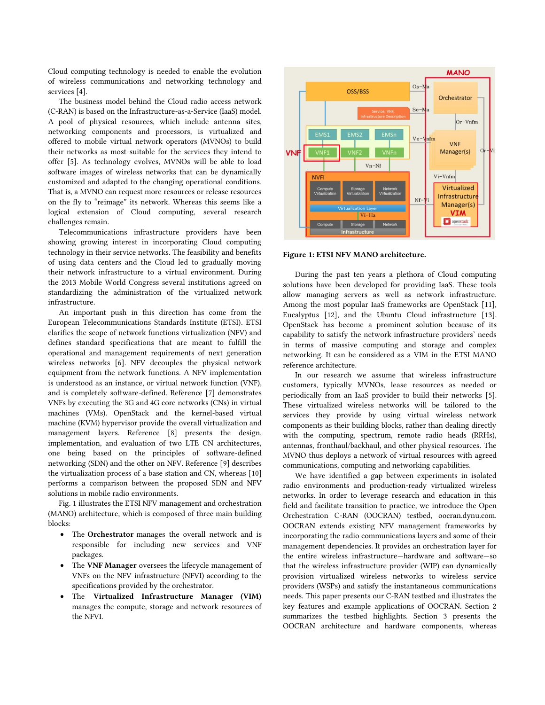Cloud computing technology is needed to enable the evolution of wireless communications and networking technology and services [\[4\]](#page-5-3).

The business model behind the Cloud radio access network (C-RAN) is based on the Infrastructure-as-a-Service (IaaS) model. A pool of physical resources, which include antenna sites, networking components and processors, is virtualized and offered to mobile virtual network operators (MVNOs) to build their networks as most suitable for the services they intend to offer [\[5\]](#page-5-4). As technology evolves, MVNOs will be able to load software images of wireless networks that can be dynamically customized and adapted to the changing operational conditions. That is, a MVNO can request more resources or release resources on the fly to "reimage" its network. Whereas this seems like a logical extension of Cloud computing, several research challenges remain.

Telecommunications infrastructure providers have been showing growing interest in incorporating Cloud computing technology in their service networks. The feasibility and benefits of using data centers and the Cloud led to gradually moving their network infrastructure to a virtual environment. During the 2013 Mobile World Congress several institutions agreed on standardizing the administration of the virtualized network infrastructure.

An important push in this direction has come from the European Telecommunications Standards Institute (ETSI). ETSI clarifies the scope of network functions virtualization (NFV) and defines standard specifications that are meant to fulfill the operational and management requirements of next generation wireless networks [\[6\]](#page-5-5). NFV decouples the physical network equipment from the network functions. A NFV implementation is understood as an instance, or virtual network function (VNF), and is completely software-defined. Reference [\[7\]](#page-5-6) demonstrates VNFs by executing the 3G and 4G core networks (CNs) in virtual machines (VMs). OpenStack and the kernel-based virtual machine (KVM) hypervisor provide the overall virtualization and management layers. Reference [\[8\]](#page-5-7) presents the design, implementation, and evaluation of two LTE CN architectures, one being based on the principles of software-defined networking (SDN) and the other on NFV. Reference [\[9\]](#page-5-8) describes the virtualization process of a base station and CN, whereas [\[10\]](#page-5-9) performs a comparison between the proposed SDN and NFV solutions in mobile radio environments.

[Fig. 1](#page-1-0) illustrates the ETSI NFV management and orchestration (MANO) architecture, which is composed of three main building blocks:

- The Orchestrator manages the overall network and is responsible for including new services and VNF packages.
- The VNF Manager oversees the lifecycle management of VNFs on the NFV infrastructure (NFVI) according to the specifications provided by the orchestrator.
- The Virtualized Infrastructure Manager (VIM) manages the compute, storage and network resources of the NFVI.



<span id="page-1-0"></span>Figure 1: ETSI NFV MANO architecture.

During the past ten years a plethora of Cloud computing solutions have been developed for providing IaaS. These tools allow managing servers as well as network infrastructure. Among the most popular IaaS frameworks are OpenStack [\[11\]](#page-5-10), Eucalyptus [\[12\]](#page-5-11), and the Ubuntu Cloud infrastructure [\[13\]](#page-5-12). OpenStack has become a prominent solution because of its capability to satisfy the network infrastructure providers' needs in terms of massive computing and storage and complex networking. It can be considered as a VIM in the ETSI MANO reference architecture.

In our research we assume that wireless infrastructure customers, typically MVNOs, lease resources as needed or periodically from an IaaS provider to build their networks [\[5\]](#page-5-4). These virtualized wireless networks will be tailored to the services they provide by using virtual wireless network components as their building blocks, rather than dealing directly with the computing, spectrum, remote radio heads (RRHs), antennas, fronthaul/backhaul, and other physical resources. The MVNO thus deploys a network of virtual resources with agreed communications, computing and networking capabilities.

We have identified a gap between experiments in isolated radio environments and production-ready virtualized wireless networks. In order to leverage research and education in this field and facilitate transition to practice, we introduce the Open Orchestration C-RAN (OOCRAN) testbed, oocran.dynu.com. OOCRAN extends existing NFV management frameworks by incorporating the radio communications layers and some of their management dependencies. It provides an orchestration layer for the entire wireless infrastructure—hardware and software—so that the wireless infrastructure provider (WIP) can dynamically provision virtualized wireless networks to wireless service providers (WSPs) and satisfy the instantaneous communications needs. This paper presents our C-RAN testbed and illustrates the key features and example applications of OOCRAN. Section 2 summarizes the testbed highlights. Section 3 presents the OOCRAN architecture and hardware components, whereas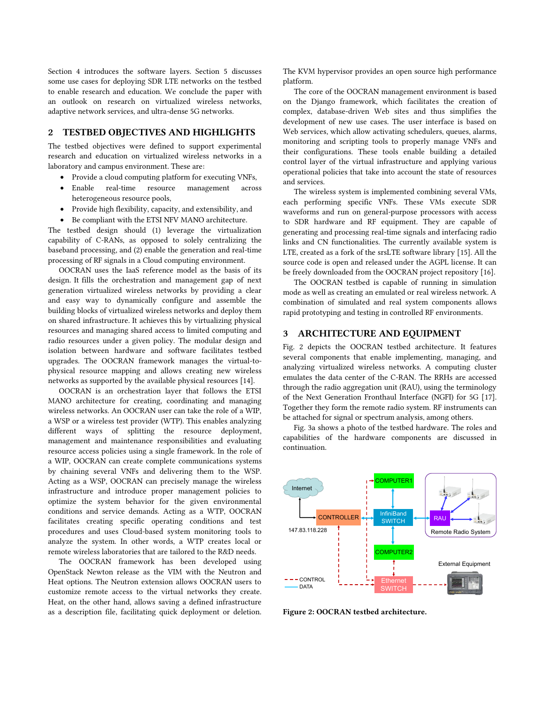Section 4 introduces the software layers. Section 5 discusses some use cases for deploying SDR LTE networks on the testbed to enable research and education. We conclude the paper with an outlook on research on virtualized wireless networks, adaptive network services, and ultra-dense 5G networks.

## 2 TESTBED OBJECTIVES AND HIGHLIGHTS

The testbed objectives were defined to support experimental research and education on virtualized wireless networks in a laboratory and campus environment. These are:

- Provide a cloud computing platform for executing VNFs,
- Enable real-time resource management across heterogeneous resource pools,
- Provide high flexibility, capacity, and extensibility, and
- Be compliant with the ETSI NFV MANO architecture.

The testbed design should (1) leverage the virtualization capability of C-RANs, as opposed to solely centralizing the baseband processing, and (2) enable the generation and real-time processing of RF signals in a Cloud computing environment.

OOCRAN uses the IaaS reference model as the basis of its design. It fills the orchestration and management gap of next generation virtualized wireless networks by providing a clear and easy way to dynamically configure and assemble the building blocks of virtualized wireless networks and deploy them on shared infrastructure. It achieves this by virtualizing physical resources and managing shared access to limited computing and radio resources under a given policy. The modular design and isolation between hardware and software facilitates testbed upgrades. The OOCRAN framework manages the virtual-tophysical resource mapping and allows creating new wireless networks as supported by the available physical resources [\[14\]](#page-5-13).

OOCRAN is an orchestration layer that follows the ETSI MANO architecture for creating, coordinating and managing wireless networks. An OOCRAN user can take the role of a WIP, a WSP or a wireless test provider (WTP). This enables analyzing different ways of splitting the resource deployment, management and maintenance responsibilities and evaluating resource access policies using a single framework. In the role of a WIP, OOCRAN can create complete communications systems by chaining several VNFs and delivering them to the WSP. Acting as a WSP, OOCRAN can precisely manage the wireless infrastructure and introduce proper management policies to optimize the system behavior for the given environmental conditions and service demands. Acting as a WTP, OOCRAN facilitates creating specific operating conditions and test procedures and uses Cloud-based system monitoring tools to analyze the system. In other words, a WTP creates local or remote wireless laboratories that are tailored to the R&D needs.

The OOCRAN framework has been developed using OpenStack Newton release as the VIM with the Neutron and Heat options. The Neutron extension allows OOCRAN users to customize remote access to the virtual networks they create. Heat, on the other hand, allows saving a defined infrastructure as a description file, facilitating quick deployment or deletion. The KVM hypervisor provides an open source high performance platform.

The core of the OOCRAN management environment is based on the Django framework, which facilitates the creation of complex, database-driven Web sites and thus simplifies the development of new use cases. The user interface is based on Web services, which allow activating schedulers, queues, alarms, monitoring and scripting tools to properly manage VNFs and their configurations. These tools enable building a detailed control layer of the virtual infrastructure and applying various operational policies that take into account the state of resources and services.

The wireless system is implemented combining several VMs, each performing specific VNFs. These VMs execute SDR waveforms and run on general-purpose processors with access to SDR hardware and RF equipment. They are capable of generating and processing real-time signals and interfacing radio links and CN functionalities. The currently available system is LTE, created as a fork of the srsLTE software library [\[15\]](#page-5-14). All the source code is open and released under the AGPL license. It can be freely downloaded from the OOCRAN project repository [\[16\]](#page-5-15).

The OOCRAN testbed is capable of running in simulation mode as well as creating an emulated or real wireless network. A combination of simulated and real system components allows rapid prototyping and testing in controlled RF environments.

#### 3 ARCHITECTURE AND EQUIPMENT

[Fig. 2](#page-2-0) depicts the OOCRAN testbed architecture. It features several components that enable implementing, managing, and analyzing virtualized wireless networks. A computing cluster emulates the data center of the C-RAN. The RRHs are accessed through the radio aggregation unit (RAU), using the terminology of the Next Generation Fronthaul Interface (NGFI) for 5G [\[17\]](#page-5-16). Together they form the remote radio system. RF instruments can be attached for signal or spectrum analysis, among others.

[Fig. 3a](#page-3-0) shows a photo of the testbed hardware. The roles and capabilities of the hardware components are discussed in continuation.



<span id="page-2-0"></span>Figure 2: OOCRAN testbed architecture.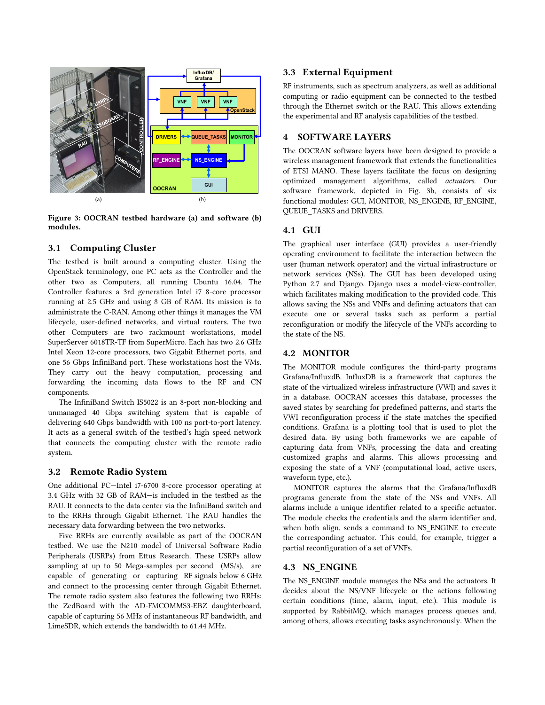

<span id="page-3-0"></span>Figure 3: OOCRAN testbed hardware (a) and software (b) modules.

## 3.1 Computing Cluster

The testbed is built around a computing cluster. Using the OpenStack terminology, one PC acts as the Controller and the other two as Computers, all running Ubuntu 16.04. The Controller features a 3rd generation Intel i7 8-core processor running at 2.5 GHz and using 8 GB of RAM. Its mission is to administrate the C-RAN. Among other things it manages the VM lifecycle, user-defined networks, and virtual routers. The two other Computers are two rackmount workstations, model SuperServer 6018TR-TF from SuperMicro. Each has two 2.6 GHz Intel Xeon 12-core processors, two Gigabit Ethernet ports, and one 56 Gbps InfiniBand port. These workstations host the VMs. They carry out the heavy computation, processing and forwarding the incoming data flows to the RF and CN components.

The InfiniBand Switch IS5022 is an 8-port non-blocking and unmanaged 40 Gbps switching system that is capable of delivering 640 Gbps bandwidth with 100 ns port-to-port latency. It acts as a general switch of the testbed's high speed network that connects the computing cluster with the remote radio system.

#### 3.2 Remote Radio System

One additional PC—Intel i7-6700 8-core processor operating at 3.4 GHz with 32 GB of RAM—is included in the testbed as the RAU. It connects to the data center via the InfiniBand switch and to the RRHs through Gigabit Ethernet. The RAU handles the necessary data forwarding between the two networks.

Five RRHs are currently available as part of the OOCRAN testbed. We use the N210 model of Universal Software Radio Peripherals (USRPs) from Ettus Research. These USRPs allow sampling at up to 50 Mega-samples per second (MS/s), are capable of generating or capturing RF signals below 6 GHz and connect to the processing center through Gigabit Ethernet. The remote radio system also features the following two RRHs: the ZedBoard with the AD-FMCOMMS3-EBZ daughterboard, capable of capturing 56 MHz of instantaneous RF bandwidth, and LimeSDR, which extends the bandwidth to 61.44 MHz.

## 3.3 External Equipment

RF instruments, such as spectrum analyzers, as well as additional computing or radio equipment can be connected to the testbed through the Ethernet switch or the RAU. This allows extending the experimental and RF analysis capabilities of the testbed.

# 4 SOFTWARE LAYERS

The OOCRAN software layers have been designed to provide a wireless management framework that extends the functionalities of ETSI MANO. These layers facilitate the focus on designing optimized management algorithms, called *actuators*. Our software framework, depicted in [Fig. 3b,](#page-3-0) consists of six functional modules: GUI, MONITOR, NS\_ENGINE, RF\_ENGINE, QUEUE\_TASKS and DRIVERS.

## 4.1 GUI

The graphical user interface (GUI) provides a user-friendly operating environment to facilitate the interaction between the user (human network operator) and the virtual infrastructure or network services (NSs). The GUI has been developed using Python 2.7 and Django. Django uses a model-view-controller, which facilitates making modification to the provided code. This allows saving the NSs and VNFs and defining actuators that can execute one or several tasks such as perform a partial reconfiguration or modify the lifecycle of the VNFs according to the state of the NS.

#### 4.2 MONITOR

The MONITOR module configures the third-party programs Grafana/InfluxdB. InfluxDB is a framework that captures the state of the virtualized wireless infrastructure (VWI) and saves it in a database. OOCRAN accesses this database, processes the saved states by searching for predefined patterns, and starts the VWI reconfiguration process if the state matches the specified conditions. Grafana is a plotting tool that is used to plot the desired data. By using both frameworks we are capable of capturing data from VNFs, processing the data and creating customized graphs and alarms. This allows processing and exposing the state of a VNF (computational load, active users, waveform type, etc.).

MONITOR captures the alarms that the Grafana/InfluxdB programs generate from the state of the NSs and VNFs. All alarms include a unique identifier related to a specific actuator. The module checks the credentials and the alarm identifier and, when both align, sends a command to NS\_ENGINE to execute the corresponding actuator. This could, for example, trigger a partial reconfiguration of a set of VNFs.

## 4.3 NS\_ENGINE

The NS\_ENGINE module manages the NSs and the actuators. It decides about the NS/VNF lifecycle or the actions following certain conditions (time, alarm, input, etc.). This module is supported by RabbitMQ, which manages process queues and, among others, allows executing tasks asynchronously. When the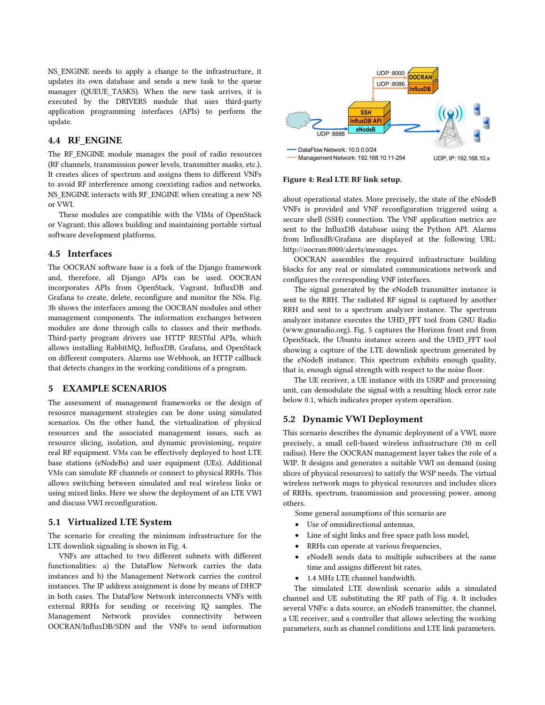NS\_ENGINE needs to apply a change to the infrastructure, it updates its own database and sends a new task to the queue manager (QUEUE TASKS). When the new task arrives, it is executed by the DRIVERS module that uses third-party application programming interfaces (APIs) to perform the update.

#### 4.4 RF ENGINE

The RF\_ENGINE module manages the pool of radio resources (RF channels, transmission power levels, transmitter masks, etc.). It creates slices of spectrum and assigns them to different VNFs to avoid RF interference among coexisting radios and networks. NS\_ENGINE interacts with RF\_ENGINE when creating a new NS or VWI.

These modules are compatible with the VIMs of OpenStack or Vagrant; this allows building and maintaining portable virtual software development platforms.

## 4.5 Interfaces

The OOCRAN software base is a fork of the Django framework and, therefore, all Django APIs can be used. OOCRAN incorporates APIs from OpenStack, Vagrant, InfluxDB and Grafana to create, delete, reconfigure and monitor the NSs. [Fig.](#page-3-0) [3b](#page-3-0) shows the interfaces among the OOCRAN modules and other management components. The information exchanges between modules are done through calls to classes and their methods. Third-party program drivers use HTTP RESTful APIs, which allows installing RabbitMQ, InfluxDB, Grafana, and OpenStack on different computers. Alarms use Webhook, an HTTP callback that detects changes in the working conditions of a program.

## 5 EXAMPLE SCENARIOS

The assessment of management frameworks or the design of resource management strategies can be done using simulated scenarios. On the other hand, the virtualization of physical resources and the associated management issues, such as resource slicing, isolation, and dynamic provisioning, require real RF equipment. VMs can be effectively deployed to host LTE base stations (eNodeBs) and user equipment (UEs). Additional VMs can simulate RF channels or connect to physical RRHs. This allows switching between simulated and real wireless links or using mixed links. Here we show the deployment of an LTE VWI and discuss VWI reconfiguration.

#### 5.1 Virtualized LTE System

The scenario for creating the minimum infrastructure for the LTE downlink signaling is shown in [Fig.](#page-4-0) 4.

VNFs are attached to two different subnets with different functionalities: a) the DataFlow Network carries the data instances and b) the Management Network carries the control instances. The IP address assignment is done by means of DHCP in both cases. The DataFlow Network interconnects VNFs with external RRHs for sending or receiving IQ samples. The Management Network provides connectivity between OOCRAN/InfluxDB/SDN and the VNFs to send information



#### <span id="page-4-0"></span>Figure 4: Real LTE RF link setup.

about operational states. More precisely, the state of the eNodeB VNFs is provided and VNF reconfiguration triggered using a secure shell (SSH) connection. The VNF application metrics are sent to the InfluxDB database using the Python API. Alarms from InfluxdB/Grafana are displayed at the following URL: http://oocran:8000/alerts/messages.

OOCRAN assembles the required infrastructure building blocks for any real or simulated communications network and configures the corresponding VNF interfaces.

The signal generated by the eNodeB transmitter instance is sent to the RRH. The radiated RF signal is captured by another RRH and sent to a spectrum analyzer instance. The spectrum analyzer instance executes the UHD\_FFT tool from GNU Radio (www.gnuradio.org). [Fig.](#page-5-17) 5 captures the Horizon front end from OpenStack, the Ubuntu instance screen and the UHD\_FFT tool showing a capture of the LTE downlink spectrum generated by the eNodeB instance. This spectrum exhibits enough quality, that is, enough signal strength with respect to the noise floor.

The UE receiver, a UE instance with its USRP and processing unit, can demodulate the signal with a resulting block error rate below 0.1, which indicates proper system operation.

#### 5.2 Dynamic VWI Deployment

This scenario describes the dynamic deployment of a VWI, more precisely, a small cell-based wireless infrastructure (30 m cell radius). Here the OOCRAN management layer takes the role of a WIP. It designs and generates a suitable VWI on demand (using slices of physical resources) to satisfy the WSP needs. The virtual wireless network maps to physical resources and includes slices of RRHs, spectrum, transmission and processing power, among others.

Some general assumptions of this scenario are

- Use of omnidirectional antennas,
- Line of sight links and free space path loss model,
- RRHs can operate at various frequencies,
- eNodeB sends data to multiple subscribers at the same time and assigns different bit rates,
- 1.4 MHz LTE channel bandwidth.

The simulated LTE downlink scenario adds a simulated channel and UE substituting the RF path of [Fig. 4.](#page-4-0) It includes several VNFs: a data source, an eNodeB transmitter, the channel, a UE receiver, and a controller that allows selecting the working parameters, such as channel conditions and LTE link parameters.